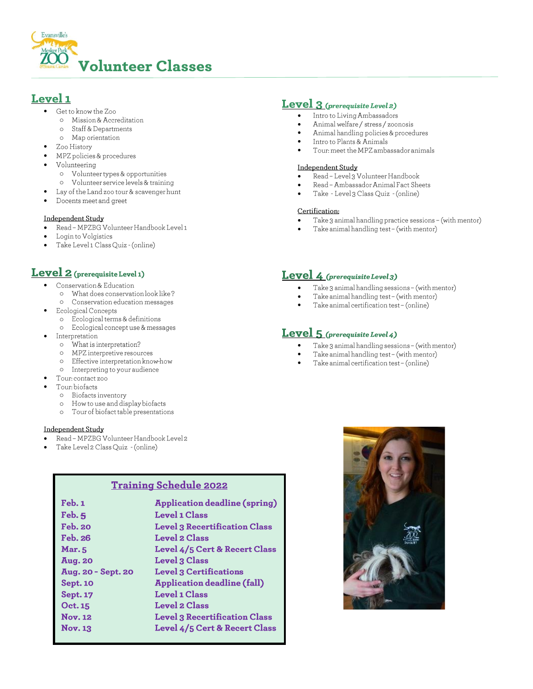

# Level 1

- Get to know the Zoo
- o Mission & Accreditation
- Staff & Departments  $\circ$
- Map orientation  $\circ$
- Zoo History
- MPZ policies & procedures
- Volunteering
	- o Volunteer types & opportunities
	- o Volunteer service levels & training
- Lay of the Land zoo tour & scavenger hunt
- Docents meet and greet

#### Independent Study

- Read MPZBG Volunteer Handbook Level 1
- Login to Volgistics
- Take Level 1 Class Quiz (online)

# Level 2 (prerequisite Level 1)

- Conservation & Education
	- o What does conservation look like?
	- o Conservation education messages
	- Ecological Concepts
	- o Ecological terms & definitions o Ecological concept use & messages
- Interpretation
	- What is interpretation?  $\circ$
	- MPZ interpretive resources  $\circ$
	- Effective interpretation know-how  $\circ$
	- Interpreting to your audience  $\circ$
- Tour: contact zoo
- Tour: biofacts
	- Biofacts inventory  $\circ$ 
		- How to use and display biofacts  $\circ$
		- Tour of biofact table presentations  $\circ$

#### Independent Study

- Read MPZBG Volunteer Handbook Level 2
- Take Level 2 Class Quiz (online)

## **Training Schedule 2022**

| Feb. 1             | <b>Application deadline (spring)</b> |
|--------------------|--------------------------------------|
| Feb.5              | <b>Level 1 Class</b>                 |
| <b>Feb. 20</b>     | <b>Level 3 Recertification Class</b> |
| <b>Feb. 26</b>     | <b>Level 2 Class</b>                 |
| <b>Mar.</b> 5      | Level 4/5 Cert & Recert Class        |
| <b>Aug. 20</b>     | <b>Level 3 Class</b>                 |
| Aug. 20 - Sept. 20 | <b>Level 3 Certifications</b>        |
| <b>Sept. 10</b>    | <b>Application deadline (fall)</b>   |
| <b>Sept. 17</b>    | <b>Level 1 Class</b>                 |
| Oct. 15            | <b>Level 2 Class</b>                 |
| <b>Nov. 12</b>     | <b>Level 3 Recertification Class</b> |
| <b>Nov. 13</b>     | Level 4/5 Cert & Recert Class        |

### **Level**  $3$  (prerequisite Level 2)

- Intro to Living Ambassadors  $\bullet$
- Animal welfare / stress / zoonosis
- $\bullet$ Animal handling policies & procedures
- Intro to Plants & Animals  $\bullet$
- Tour: meet the MPZ ambassador animals

### Independent Study

- Read Level 3 Volunteer Handbook
- Read Ambassador Animal Fact Sheets
- Take Level 3 Class Quiz (online)

#### Certification:

- Take 3 animal handling practice sessions (with mentor)
- Take animal handling test (with mentor)

# Level 4 (prerequisite Level 3)

- Take 3 animal handling sessions (with mentor)
- Take animal handling test (with mentor)
- Take animal certification test (online)

## **Level** 5 (prerequisite Level 4)

- Take 3 animal handling sessions (with mentor)  $\bullet$
- Take animal handling test (with mentor)
- Take animal certification test (online)